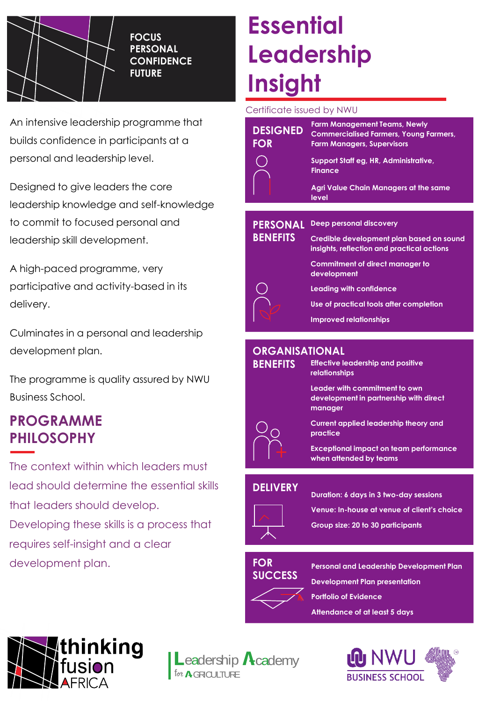

**FOCUS PERSONAL CONFIDENCE FUTURE**

An intensive leadership programme that builds confidence in participants at a personal and leadership level.

Designed to give leaders the core leadership knowledge and self-knowledge to commit to focused personal and leadership skill development.

A high-paced programme, very participative and activity-based in its delivery.

Culminates in a personal and leadership development plan.

The programme is quality assured by NWU Business School.

### **PROGRAMME PHILOSOPHY**

The context within which leaders must lead should determine the essential skills that leaders should develop. Developing these skills is a process that requires self-insight and a clear development plan.

# **Essential Leadership Insight**

Certificate issued by NWU

| <b>DESIGNED</b><br><b>FOR</b> | <b>Farm Management Teams, Newly</b><br><b>Commercialised Farmers, Young Farmers,</b><br><b>Farm Managers, Supervisors</b> |
|-------------------------------|---------------------------------------------------------------------------------------------------------------------------|
|                               | Support Staff eg, HR, Administrative,<br><b>Finance</b>                                                                   |
|                               | Agri Value Chain Managers at the same<br>level                                                                            |
|                               |                                                                                                                           |
| <b>PERSONAL</b>               | <b>Deep personal discovery</b>                                                                                            |
| <b>BENEFITS</b>               | Credible development plan based on sound<br>insights, reflection and practical actions                                    |
|                               | <b>Commitment of direct manager to</b><br>development                                                                     |
|                               | Leading with confidence                                                                                                   |
|                               | Use of practical tools after completion                                                                                   |
|                               | <b>Improved relationships</b>                                                                                             |
|                               |                                                                                                                           |
|                               |                                                                                                                           |

#### **ORGANISATIONAL**



**Effective leadership and positive relationships**

**Leader with commitment to own development in partnership with direct** 

**Current applied leadership theory and** 

**Exceptional impact on team performance when attended by teams**

#### **DELIVERY**



**Duration: 6 days in 3 two-day sessions**

**Venue: In-house at venue of client's choice**

**Group size: 20 to 30 participants**

#### **FOR SUCCESS**



**Personal and Leadership Development Plan Development Plan presentation Portfolio of Evidence Attendance of at least 5 days**